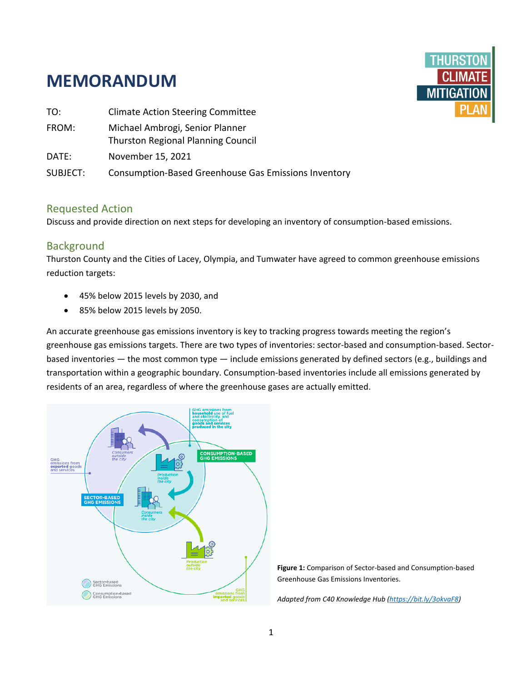# **MEMORANDUM**



| TO:      | <b>Climate Action Steering Committee</b>                                     |
|----------|------------------------------------------------------------------------------|
| FROM:    | Michael Ambrogi, Senior Planner<br><b>Thurston Regional Planning Council</b> |
| DATE:    | November 15, 2021                                                            |
| SUBJECT: | <b>Consumption-Based Greenhouse Gas Emissions Inventory</b>                  |

## Requested Action

Discuss and provide direction on next steps for developing an inventory of consumption-based emissions.

## Background

Thurston County and the Cities of Lacey, Olympia, and Tumwater have agreed to common greenhouse emissions reduction targets:

- 45% below 2015 levels by 2030, and
- 85% below 2015 levels by 2050.

An accurate greenhouse gas emissions inventory is key to tracking progress towards meeting the region's greenhouse gas emissions targets. There are two types of inventories: sector-based and consumption-based. Sectorbased inventories — the most common type — include emissions generated by defined sectors (e.g., buildings and transportation within a geographic boundary. Consumption-based inventories include all emissions generated by residents of an area, regardless of where the greenhouse gases are actually emitted.



**Figure 1:** Comparison of Sector-based and Consumption-based Greenhouse Gas Emissions Inventories.

*Adapted from C40 Knowledge Hub [\(https://bit.ly/3okvaF8\)](https://bit.ly/3okvaF8)*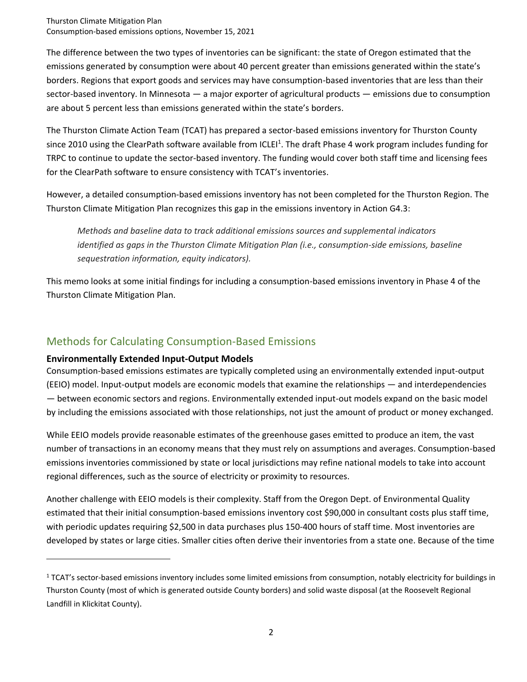Thurston Climate Mitigation Plan Consumption-based emissions options, November 15, 2021

The difference between the two types of inventories can be significant: the state of Oregon estimated that the emissions generated by consumption were about 40 percent greater than emissions generated within the state's borders. Regions that export goods and services may have consumption-based inventories that are less than their sector-based inventory. In Minnesota — a major exporter of agricultural products — emissions due to consumption are about 5 percent less than emissions generated within the state's borders.

The Thurston Climate Action Team (TCAT) has prepared a sector-based emissions inventory for Thurston County since 2010 using the ClearPath software available from ICLEI<sup>1</sup>. The draft Phase 4 work program includes funding for TRPC to continue to update the sector-based inventory. The funding would cover both staff time and licensing fees for the ClearPath software to ensure consistency with TCAT's inventories.

However, a detailed consumption-based emissions inventory has not been completed for the Thurston Region. The Thurston Climate Mitigation Plan recognizes this gap in the emissions inventory in Action G4.3:

*Methods and baseline data to track additional emissions sources and supplemental indicators identified as gaps in the Thurston Climate Mitigation Plan (i.e., consumption-side emissions, baseline sequestration information, equity indicators).* 

This memo looks at some initial findings for including a consumption-based emissions inventory in Phase 4 of the Thurston Climate Mitigation Plan.

## Methods for Calculating Consumption-Based Emissions

#### **Environmentally Extended Input-Output Models**

Consumption-based emissions estimates are typically completed using an environmentally extended input-output (EEIO) model. Input-output models are economic models that examine the relationships — and interdependencies — between economic sectors and regions. Environmentally extended input-out models expand on the basic model by including the emissions associated with those relationships, not just the amount of product or money exchanged.

While EEIO models provide reasonable estimates of the greenhouse gases emitted to produce an item, the vast number of transactions in an economy means that they must rely on assumptions and averages. Consumption-based emissions inventories commissioned by state or local jurisdictions may refine national models to take into account regional differences, such as the source of electricity or proximity to resources.

Another challenge with EEIO models is their complexity. Staff from the Oregon Dept. of Environmental Quality estimated that their initial consumption-based emissions inventory cost \$90,000 in consultant costs plus staff time, with periodic updates requiring \$2,500 in data purchases plus 150-400 hours of staff time. Most inventories are developed by states or large cities. Smaller cities often derive their inventories from a state one. Because of the time

<sup>&</sup>lt;sup>1</sup> TCAT's sector-based emissions inventory includes some limited emissions from consumption, notably electricity for buildings in Thurston County (most of which is generated outside County borders) and solid waste disposal (at the Roosevelt Regional Landfill in Klickitat County).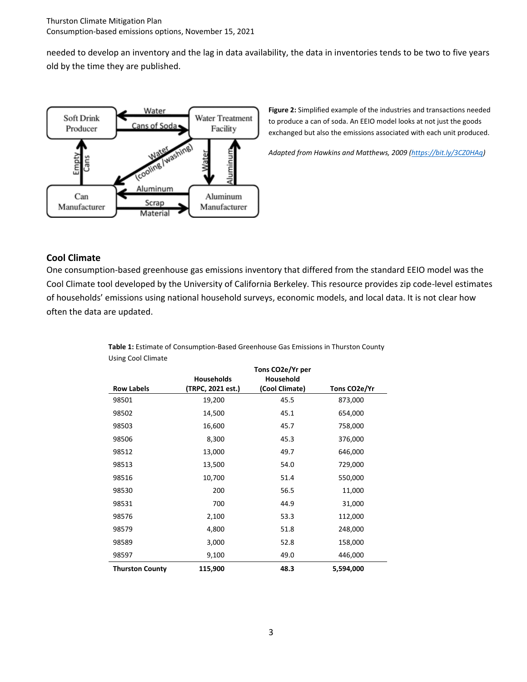needed to develop an inventory and the lag in data availability, the data in inventories tends to be two to five years old by the time they are published.



**Figure 2:** Simplified example of the industries and transactions needed to produce a can of soda. An EEIO model looks at not just the goods exchanged but also the emissions associated with each unit produced.

*Adapted from Hawkins and Matthews, 2009 [\(https://bit.ly/3CZ0HAq\)](https://bit.ly/3CZ0HAq)* 

#### **Cool Climate**

One consumption-based greenhouse gas emissions inventory that differed from the standard EEIO model was the Cool Climate tool developed by the University of California Berkeley. This resource provides zip code-level estimates of households' emissions using national household surveys, economic models, and local data. It is not clear how often the data are updated.

|                        | <b>Households</b> | Tons CO2e/Yr per<br>Household |              |
|------------------------|-------------------|-------------------------------|--------------|
| <b>Row Labels</b>      | (TRPC, 2021 est.) | (Cool Climate)                | Tons CO2e/Yr |
| 98501                  | 19,200            | 45.5                          | 873,000      |
| 98502                  | 14,500            | 45.1                          | 654,000      |
| 98503                  | 16,600            | 45.7                          | 758,000      |
| 98506                  | 8,300             | 45.3                          | 376,000      |
| 98512                  | 13,000            | 49.7                          | 646,000      |
| 98513                  | 13,500            | 54.0                          | 729,000      |
| 98516                  | 10,700            | 51.4                          | 550,000      |
| 98530                  | 200               | 56.5                          | 11,000       |
| 98531                  | 700               | 44.9                          | 31,000       |
| 98576                  | 2,100             | 53.3                          | 112,000      |
| 98579                  | 4,800             | 51.8                          | 248,000      |
| 98589                  | 3,000             | 52.8                          | 158,000      |
| 98597                  | 9,100             | 49.0                          | 446,000      |
| <b>Thurston County</b> | 115,900           | 48.3                          | 5,594,000    |

**Table 1:** Estimate of Consumption-Based Greenhouse Gas Emissions in Thurston County Using Cool Climate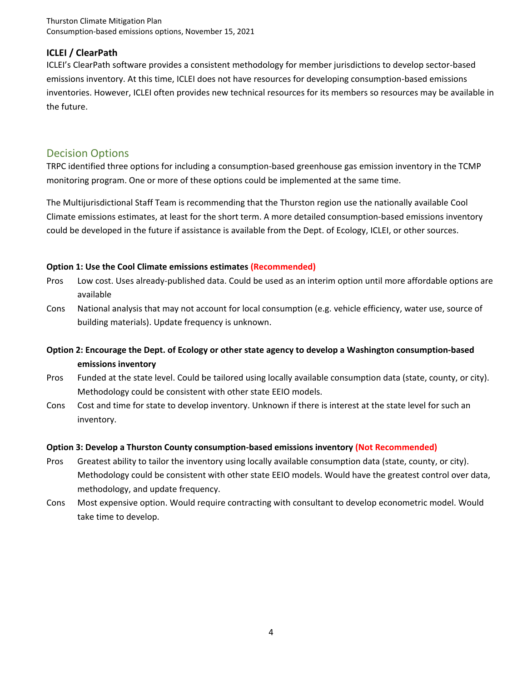Thurston Climate Mitigation Plan Consumption-based emissions options, November 15, 2021

#### **ICLEI / ClearPath**

ICLEI's ClearPath software provides a consistent methodology for member jurisdictions to develop sector-based emissions inventory. At this time, ICLEI does not have resources for developing consumption-based emissions inventories. However, ICLEI often provides new technical resources for its members so resources may be available in the future.

### Decision Options

TRPC identified three options for including a consumption-based greenhouse gas emission inventory in the TCMP monitoring program. One or more of these options could be implemented at the same time.

The Multijurisdictional Staff Team is recommending that the Thurston region use the nationally available Cool Climate emissions estimates, at least for the short term. A more detailed consumption-based emissions inventory could be developed in the future if assistance is available from the Dept. of Ecology, ICLEI, or other sources.

#### **Option 1: Use the Cool Climate emissions estimates (Recommended)**

- Pros Low cost. Uses already-published data. Could be used as an interim option until more affordable options are available
- Cons National analysis that may not account for local consumption (e.g. vehicle efficiency, water use, source of building materials). Update frequency is unknown.
- **Option 2: Encourage the Dept. of Ecology or other state agency to develop a Washington consumption-based emissions inventory**
- Pros Funded at the state level. Could be tailored using locally available consumption data (state, county, or city). Methodology could be consistent with other state EEIO models.
- Cons Cost and time for state to develop inventory. Unknown if there is interest at the state level for such an inventory.

#### **Option 3: Develop a Thurston County consumption-based emissions inventory (Not Recommended)**

- Pros Greatest ability to tailor the inventory using locally available consumption data (state, county, or city). Methodology could be consistent with other state EEIO models. Would have the greatest control over data, methodology, and update frequency.
- Cons Most expensive option. Would require contracting with consultant to develop econometric model. Would take time to develop.